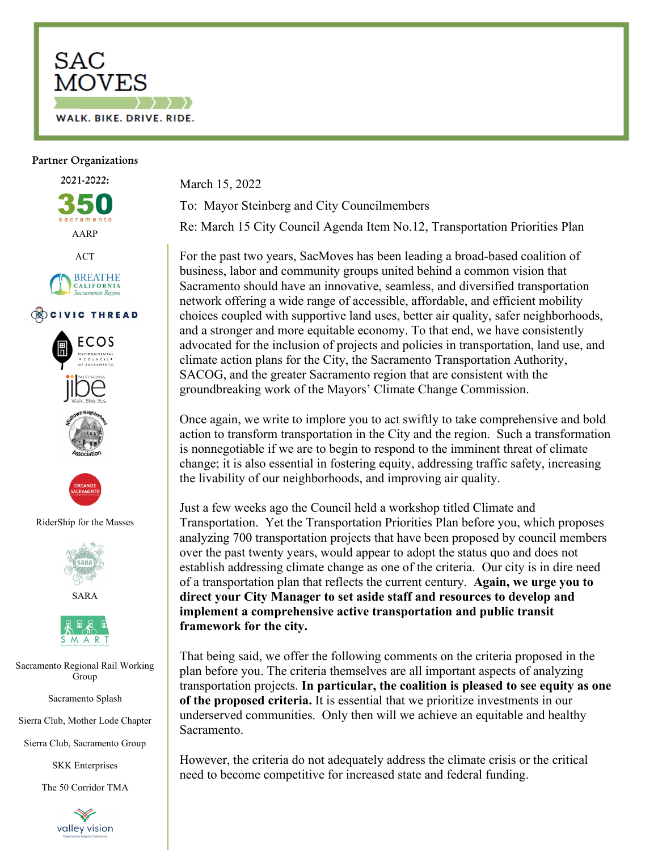

## Partner Organizations

2021-2022:







## **COUVIC THREAD**







## RiderShip for the Masses



SARA



Sacramento Regional Rail Working Group

Sacramento Splash

Sierra Club, Mother Lode Chapter

Sierra Club, Sacramento Group

SKK Enterprises

The 50 Corridor TMA



March 15, 2022

To: Mayor Steinberg and City Councilmembers

Re: March 15 City Council Agenda Item No.12, Transportation Priorities Plan

For the past two years, SacMoves has been leading a broad-based coalition of business, labor and community groups united behind a common vision that Sacramento should have an innovative, seamless, and diversified transportation network offering a wide range of accessible, affordable, and efficient mobility choices coupled with supportive land uses, better air quality, safer neighborhoods, and a stronger and more equitable economy. To that end, we have consistently advocated for the inclusion of projects and policies in transportation, land use, and climate action plans for the City, the Sacramento Transportation Authority, SACOG, and the greater Sacramento region that are consistent with the groundbreaking work of the Mayors' Climate Change Commission.

Once again, we write to implore you to act swiftly to take comprehensive and bold action to transform transportation in the City and the region. Such a transformation is nonnegotiable if we are to begin to respond to the imminent threat of climate change; it is also essential in fostering equity, addressing traffic safety, increasing the livability of our neighborhoods, and improving air quality.

Just a few weeks ago the Council held a workshop titled Climate and Transportation. Yet the Transportation Priorities Plan before you, which proposes analyzing 700 transportation projects that have been proposed by council members over the past twenty years, would appear to adopt the status quo and does not establish addressing climate change as one of the criteria. Our city is in dire need of a transportation plan that reflects the current century. **Again, we urge you to direct your City Manager to set aside staff and resources to develop and implement a comprehensive active transportation and public transit framework for the city.**

That being said, we offer the following comments on the criteria proposed in the plan before you. The criteria themselves are all important aspects of analyzing transportation projects. **In particular, the coalition is pleased to see equity as one of the proposed criteria.** It is essential that we prioritize investments in our underserved communities. Only then will we achieve an equitable and healthy Sacramento.

However, the criteria do not adequately address the climate crisis or the critical need to become competitive for increased state and federal funding.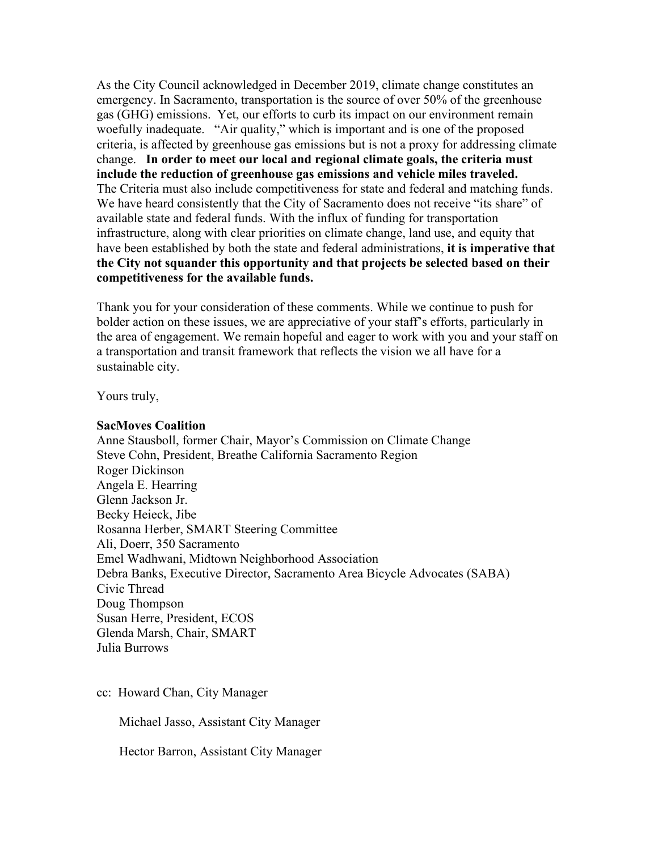As the City Council acknowledged in December 2019, climate change constitutes an emergency. In Sacramento, transportation is the source of over 50% of the greenhouse gas (GHG) emissions. Yet, our efforts to curb its impact on our environment remain woefully inadequate. "Air quality," which is important and is one of the proposed criteria, is affected by greenhouse gas emissions but is not a proxy for addressing climate change. **In order to meet our local and regional climate goals, the criteria must include the reduction of greenhouse gas emissions and vehicle miles traveled.** The Criteria must also include competitiveness for state and federal and matching funds. We have heard consistently that the City of Sacramento does not receive "its share" of available state and federal funds. With the influx of funding for transportation infrastructure, along with clear priorities on climate change, land use, and equity that have been established by both the state and federal administrations, **it is imperative that the City not squander this opportunity and that projects be selected based on their competitiveness for the available funds.**

Thank you for your consideration of these comments. While we continue to push for bolder action on these issues, we are appreciative of your staff's efforts, particularly in the area of engagement. We remain hopeful and eager to work with you and your staff on a transportation and transit framework that reflects the vision we all have for a sustainable city.

Yours truly,

## **SacMoves Coalition**

Anne Stausboll, former Chair, Mayor's Commission on Climate Change Steve Cohn, President, Breathe California Sacramento Region Roger Dickinson Angela E. Hearring Glenn Jackson Jr. Becky Heieck, Jibe Rosanna Herber, SMART Steering Committee Ali, Doerr, 350 Sacramento Emel Wadhwani, Midtown Neighborhood Association Debra Banks, Executive Director, Sacramento Area Bicycle Advocates (SABA) Civic Thread Doug Thompson Susan Herre, President, ECOS Glenda Marsh, Chair, SMART Julia Burrows

cc: Howard Chan, City Manager

Michael Jasso, Assistant City Manager

Hector Barron, Assistant City Manager